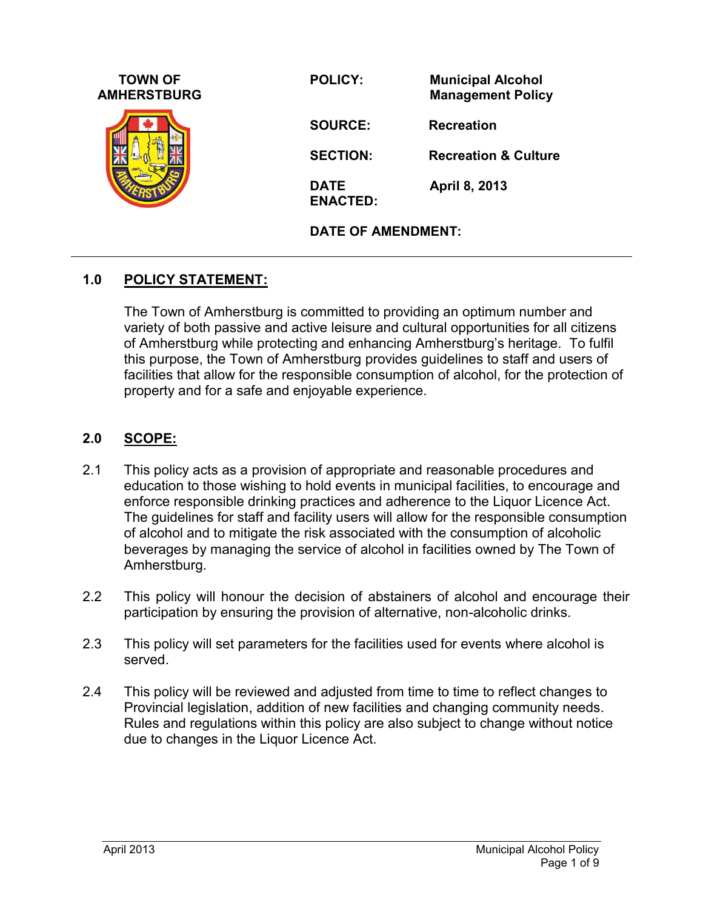| <b>TOWN OF</b><br><b>AMHERSTBURG</b> | <b>POLICY:</b>                 | <b>Municipal Alcohol</b><br><b>Management Policy</b> |
|--------------------------------------|--------------------------------|------------------------------------------------------|
|                                      | <b>SOURCE:</b>                 | <b>Recreation</b>                                    |
|                                      | <b>SECTION:</b>                | <b>Recreation &amp; Culture</b>                      |
|                                      | <b>DATE</b><br><b>ENACTED:</b> | April 8, 2013                                        |
|                                      | <b>DATE OF AMENDMENT:</b>      |                                                      |

#### **1.0 POLICY STATEMENT:**

The Town of Amherstburg is committed to providing an optimum number and variety of both passive and active leisure and cultural opportunities for all citizens of Amherstburg while protecting and enhancing Amherstburg's heritage. To fulfil this purpose, the Town of Amherstburg provides guidelines to staff and users of facilities that allow for the responsible consumption of alcohol, for the protection of property and for a safe and enjoyable experience.

#### **2.0 SCOPE:**

- 2.1 This policy acts as a provision of appropriate and reasonable procedures and education to those wishing to hold events in municipal facilities, to encourage and enforce responsible drinking practices and adherence to the Liquor Licence Act. The guidelines for staff and facility users will allow for the responsible consumption of alcohol and to mitigate the risk associated with the consumption of alcoholic beverages by managing the service of alcohol in facilities owned by The Town of Amherstburg.
- 2.2 This policy will honour the decision of abstainers of alcohol and encourage their participation by ensuring the provision of alternative, non-alcoholic drinks.
- 2.3 This policy will set parameters for the facilities used for events where alcohol is served.
- 2.4 This policy will be reviewed and adjusted from time to time to reflect changes to Provincial legislation, addition of new facilities and changing community needs. Rules and regulations within this policy are also subject to change without notice due to changes in the Liquor Licence Act.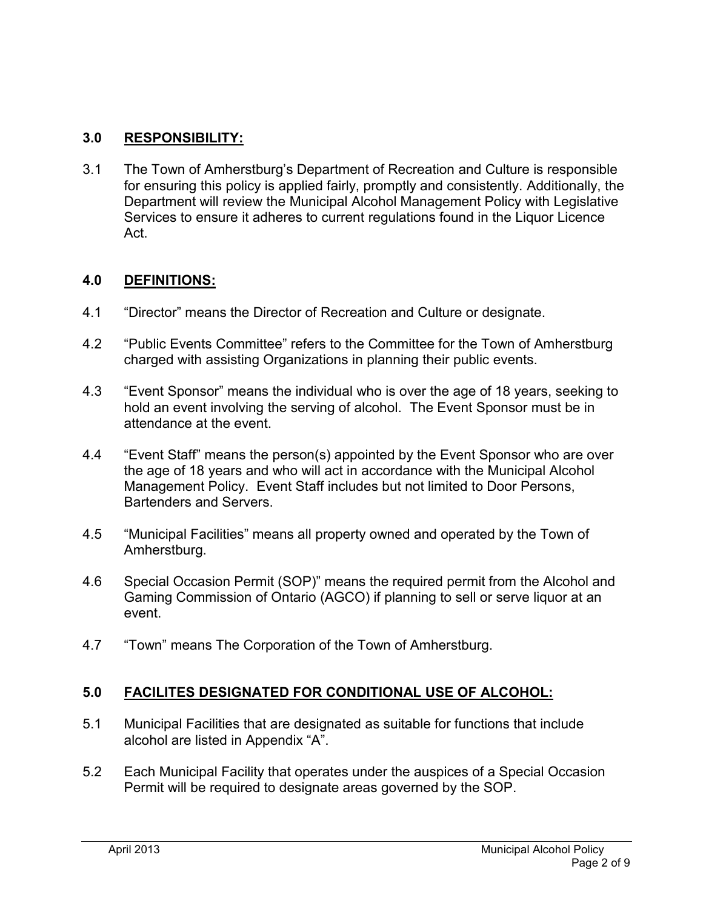### **3.0 RESPONSIBILITY:**

3.1 The Town of Amherstburg's Department of Recreation and Culture is responsible for ensuring this policy is applied fairly, promptly and consistently. Additionally, the Department will review the Municipal Alcohol Management Policy with Legislative Services to ensure it adheres to current regulations found in the Liquor Licence Act.

#### **4.0 DEFINITIONS:**

- 4.1 "Director" means the Director of Recreation and Culture or designate.
- 4.2 "Public Events Committee" refers to the Committee for the Town of Amherstburg charged with assisting Organizations in planning their public events.
- 4.3 "Event Sponsor" means the individual who is over the age of 18 years, seeking to hold an event involving the serving of alcohol. The Event Sponsor must be in attendance at the event.
- 4.4 "Event Staff" means the person(s) appointed by the Event Sponsor who are over the age of 18 years and who will act in accordance with the Municipal Alcohol Management Policy. Event Staff includes but not limited to Door Persons, Bartenders and Servers.
- 4.5 "Municipal Facilities" means all property owned and operated by the Town of Amherstburg.
- 4.6 Special Occasion Permit (SOP)" means the required permit from the Alcohol and Gaming Commission of Ontario (AGCO) if planning to sell or serve liquor at an event.
- 4.7 "Town" means The Corporation of the Town of Amherstburg.

#### **5.0 FACILITES DESIGNATED FOR CONDITIONAL USE OF ALCOHOL:**

- 5.1 Municipal Facilities that are designated as suitable for functions that include alcohol are listed in Appendix "A".
- 5.2 Each Municipal Facility that operates under the auspices of a Special Occasion Permit will be required to designate areas governed by the SOP.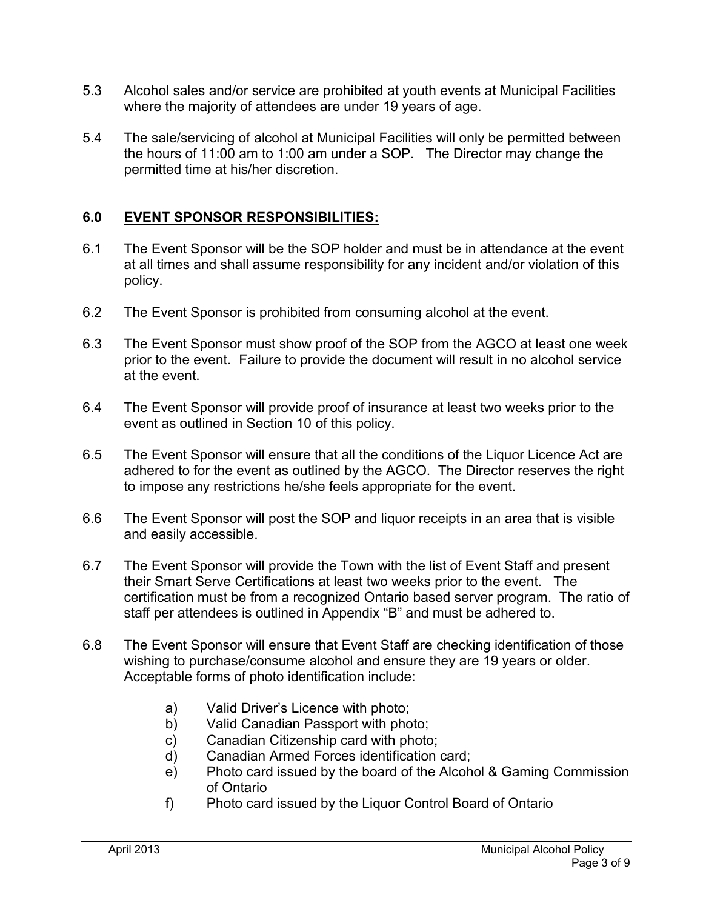- 5.3 Alcohol sales and/or service are prohibited at youth events at Municipal Facilities where the majority of attendees are under 19 years of age.
- 5.4 The sale/servicing of alcohol at Municipal Facilities will only be permitted between the hours of 11:00 am to 1:00 am under a SOP. The Director may change the permitted time at his/her discretion.

## **6.0 EVENT SPONSOR RESPONSIBILITIES:**

- 6.1 The Event Sponsor will be the SOP holder and must be in attendance at the event at all times and shall assume responsibility for any incident and/or violation of this policy.
- 6.2 The Event Sponsor is prohibited from consuming alcohol at the event.
- 6.3 The Event Sponsor must show proof of the SOP from the AGCO at least one week prior to the event. Failure to provide the document will result in no alcohol service at the event.
- 6.4 The Event Sponsor will provide proof of insurance at least two weeks prior to the event as outlined in Section 10 of this policy.
- 6.5 The Event Sponsor will ensure that all the conditions of the Liquor Licence Act are adhered to for the event as outlined by the AGCO. The Director reserves the right to impose any restrictions he/she feels appropriate for the event.
- 6.6 The Event Sponsor will post the SOP and liquor receipts in an area that is visible and easily accessible.
- 6.7 The Event Sponsor will provide the Town with the list of Event Staff and present their Smart Serve Certifications at least two weeks prior to the event. The certification must be from a recognized Ontario based server program. The ratio of staff per attendees is outlined in Appendix "B" and must be adhered to.
- 6.8 The Event Sponsor will ensure that Event Staff are checking identification of those wishing to purchase/consume alcohol and ensure they are 19 years or older. Acceptable forms of photo identification include:
	- a) Valid Driver's Licence with photo;
	- b) Valid Canadian Passport with photo;
	- c) Canadian Citizenship card with photo;
	- d) Canadian Armed Forces identification card;
	- e) Photo card issued by the board of the Alcohol & Gaming Commission of Ontario
	- f) Photo card issued by the Liquor Control Board of Ontario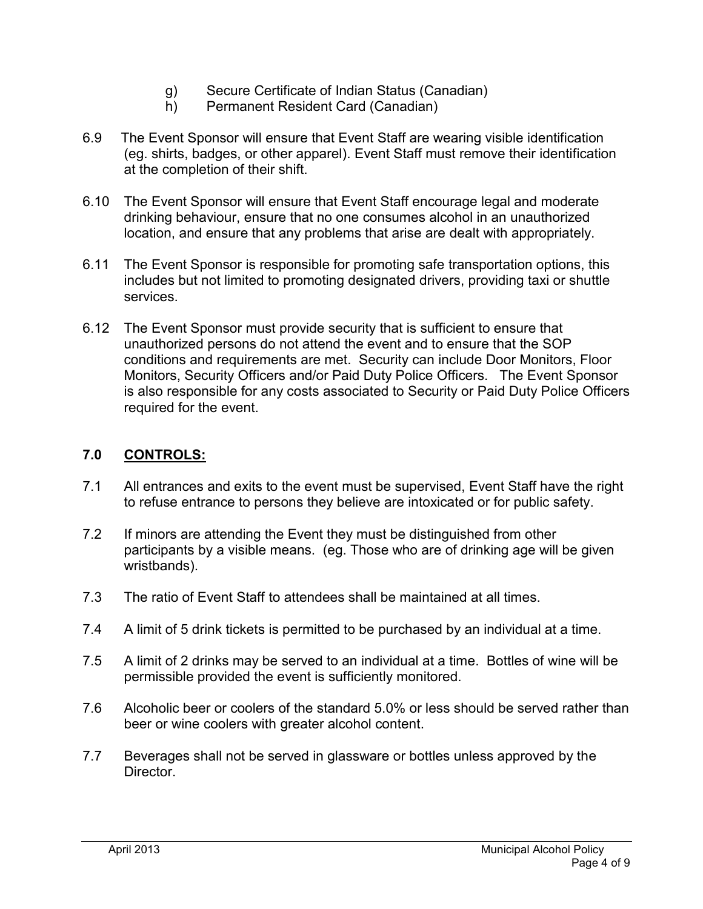- g) Secure Certificate of Indian Status (Canadian)
- h) Permanent Resident Card (Canadian)
- 6.9 The Event Sponsor will ensure that Event Staff are wearing visible identification (eg. shirts, badges, or other apparel). Event Staff must remove their identification at the completion of their shift.
- 6.10 The Event Sponsor will ensure that Event Staff encourage legal and moderate drinking behaviour, ensure that no one consumes alcohol in an unauthorized location, and ensure that any problems that arise are dealt with appropriately.
- 6.11 The Event Sponsor is responsible for promoting safe transportation options, this includes but not limited to promoting designated drivers, providing taxi or shuttle services.
- 6.12 The Event Sponsor must provide security that is sufficient to ensure that unauthorized persons do not attend the event and to ensure that the SOP conditions and requirements are met. Security can include Door Monitors, Floor Monitors, Security Officers and/or Paid Duty Police Officers. The Event Sponsor is also responsible for any costs associated to Security or Paid Duty Police Officers required for the event.

#### **7.0 CONTROLS:**

- 7.1 All entrances and exits to the event must be supervised, Event Staff have the right to refuse entrance to persons they believe are intoxicated or for public safety.
- 7.2 If minors are attending the Event they must be distinguished from other participants by a visible means. (eg. Those who are of drinking age will be given wristbands).
- 7.3 The ratio of Event Staff to attendees shall be maintained at all times.
- 7.4 A limit of 5 drink tickets is permitted to be purchased by an individual at a time.
- 7.5 A limit of 2 drinks may be served to an individual at a time. Bottles of wine will be permissible provided the event is sufficiently monitored.
- 7.6 Alcoholic beer or coolers of the standard 5.0% or less should be served rather than beer or wine coolers with greater alcohol content.
- 7.7 Beverages shall not be served in glassware or bottles unless approved by the Director.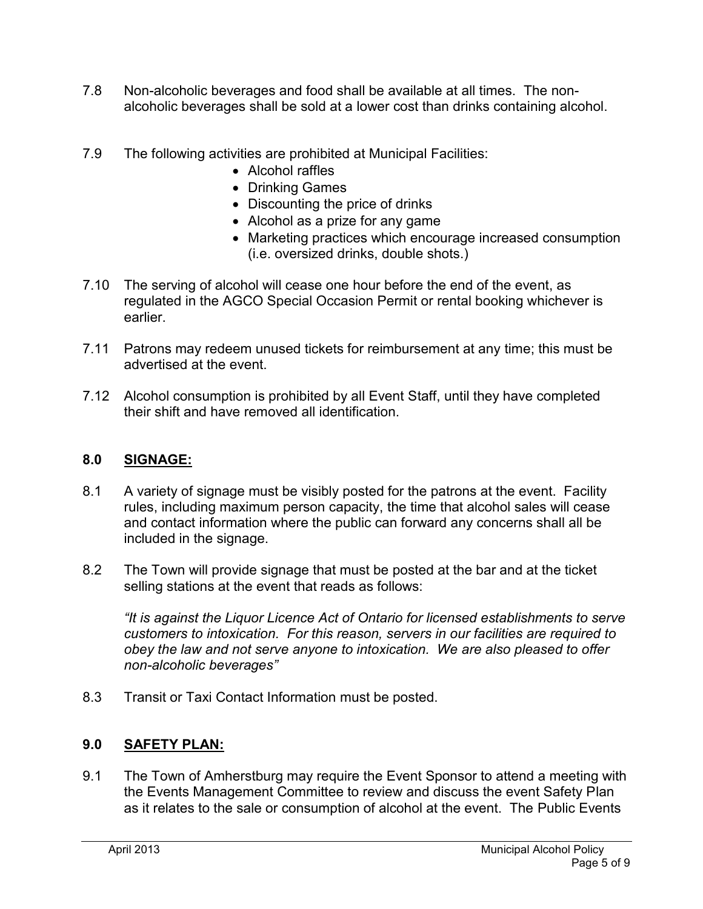- 7.8 Non-alcoholic beverages and food shall be available at all times. The nonalcoholic beverages shall be sold at a lower cost than drinks containing alcohol.
- 7.9 The following activities are prohibited at Municipal Facilities:
	- Alcohol raffles
	- Drinking Games
	- Discounting the price of drinks
	- Alcohol as a prize for any game
	- Marketing practices which encourage increased consumption (i.e. oversized drinks, double shots.)
- 7.10 The serving of alcohol will cease one hour before the end of the event, as regulated in the AGCO Special Occasion Permit or rental booking whichever is earlier.
- 7.11 Patrons may redeem unused tickets for reimbursement at any time; this must be advertised at the event.
- 7.12 Alcohol consumption is prohibited by all Event Staff, until they have completed their shift and have removed all identification.

### **8.0 SIGNAGE:**

- 8.1 A variety of signage must be visibly posted for the patrons at the event. Facility rules, including maximum person capacity, the time that alcohol sales will cease and contact information where the public can forward any concerns shall all be included in the signage.
- 8.2 The Town will provide signage that must be posted at the bar and at the ticket selling stations at the event that reads as follows:

*"It is against the Liquor Licence Act of Ontario for licensed establishments to serve customers to intoxication. For this reason, servers in our facilities are required to obey the law and not serve anyone to intoxication. We are also pleased to offer non-alcoholic beverages"* 

8.3 Transit or Taxi Contact Information must be posted.

#### **9.0 SAFETY PLAN:**

9.1 The Town of Amherstburg may require the Event Sponsor to attend a meeting with the Events Management Committee to review and discuss the event Safety Plan as it relates to the sale or consumption of alcohol at the event. The Public Events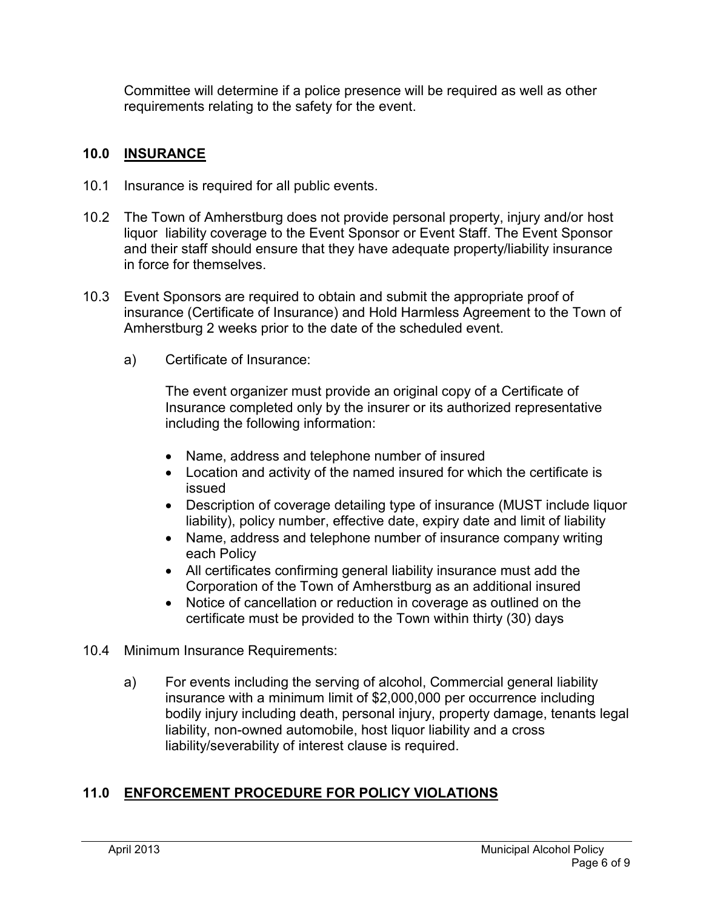Committee will determine if a police presence will be required as well as other requirements relating to the safety for the event.

## **10.0 INSURANCE**

- 10.1 Insurance is required for all public events.
- 10.2 The Town of Amherstburg does not provide personal property, injury and/or host liquor liability coverage to the Event Sponsor or Event Staff. The Event Sponsor and their staff should ensure that they have adequate property/liability insurance in force for themselves.
- 10.3 Event Sponsors are required to obtain and submit the appropriate proof of insurance (Certificate of Insurance) and Hold Harmless Agreement to the Town of Amherstburg 2 weeks prior to the date of the scheduled event.
	- a) Certificate of Insurance:

The event organizer must provide an original copy of a Certificate of Insurance completed only by the insurer or its authorized representative including the following information:

- Name, address and telephone number of insured
- Location and activity of the named insured for which the certificate is issued
- Description of coverage detailing type of insurance (MUST include liquor liability), policy number, effective date, expiry date and limit of liability
- Name, address and telephone number of insurance company writing each Policy
- All certificates confirming general liability insurance must add the Corporation of the Town of Amherstburg as an additional insured
- Notice of cancellation or reduction in coverage as outlined on the certificate must be provided to the Town within thirty (30) days
- 10.4 Minimum Insurance Requirements:
	- a) For events including the serving of alcohol, Commercial general liability insurance with a minimum limit of \$2,000,000 per occurrence including bodily injury including death, personal injury, property damage, tenants legal liability, non-owned automobile, host liquor liability and a cross liability/severability of interest clause is required.

# **11.0 ENFORCEMENT PROCEDURE FOR POLICY VIOLATIONS**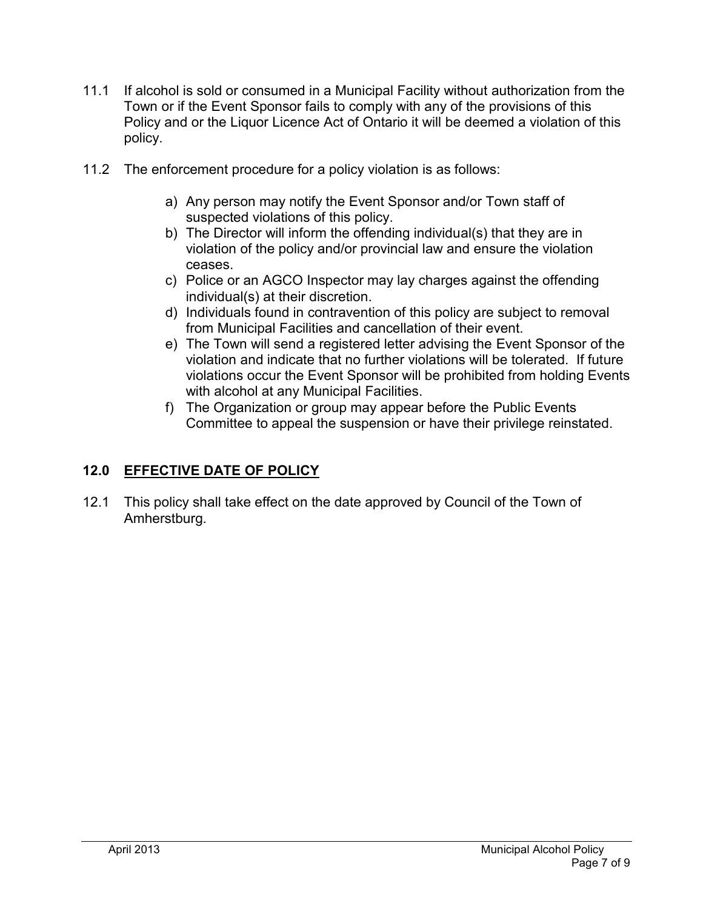- 11.1 If alcohol is sold or consumed in a Municipal Facility without authorization from the Town or if the Event Sponsor fails to comply with any of the provisions of this Policy and or the Liquor Licence Act of Ontario it will be deemed a violation of this policy.
- 11.2 The enforcement procedure for a policy violation is as follows:
	- a) Any person may notify the Event Sponsor and/or Town staff of suspected violations of this policy.
	- b) The Director will inform the offending individual(s) that they are in violation of the policy and/or provincial law and ensure the violation ceases.
	- c) Police or an AGCO Inspector may lay charges against the offending individual(s) at their discretion.
	- d) Individuals found in contravention of this policy are subject to removal from Municipal Facilities and cancellation of their event.
	- e) The Town will send a registered letter advising the Event Sponsor of the violation and indicate that no further violations will be tolerated. If future violations occur the Event Sponsor will be prohibited from holding Events with alcohol at any Municipal Facilities.
	- f) The Organization or group may appear before the Public Events Committee to appeal the suspension or have their privilege reinstated.

# **12.0 EFFECTIVE DATE OF POLICY**

12.1 This policy shall take effect on the date approved by Council of the Town of Amherstburg.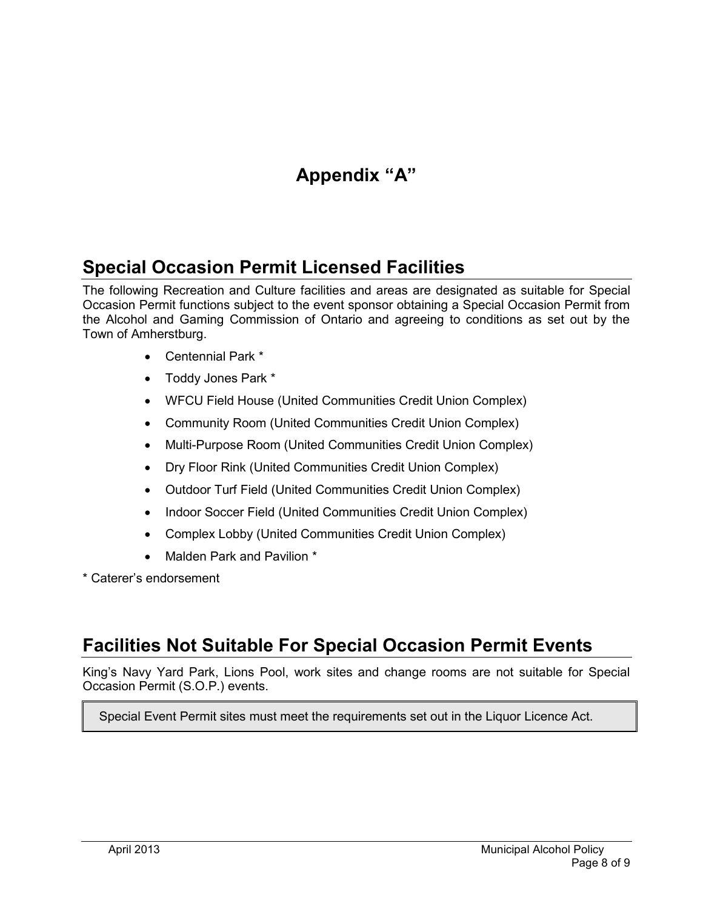# **Appendix "A"**

# **Special Occasion Permit Licensed Facilities**

The following Recreation and Culture facilities and areas are designated as suitable for Special Occasion Permit functions subject to the event sponsor obtaining a Special Occasion Permit from the Alcohol and Gaming Commission of Ontario and agreeing to conditions as set out by the Town of Amherstburg.

- Centennial Park \*
- Toddy Jones Park \*
- WFCU Field House (United Communities Credit Union Complex)
- Community Room (United Communities Credit Union Complex)
- Multi-Purpose Room (United Communities Credit Union Complex)
- Dry Floor Rink (United Communities Credit Union Complex)
- Outdoor Turf Field (United Communities Credit Union Complex)
- Indoor Soccer Field (United Communities Credit Union Complex)
- Complex Lobby (United Communities Credit Union Complex)
- Malden Park and Pavilion \*

\* Caterer's endorsement

# **Facilities Not Suitable For Special Occasion Permit Events**

King's Navy Yard Park, Lions Pool, work sites and change rooms are not suitable for Special Occasion Permit (S.O.P.) events.

Special Event Permit sites must meet the requirements set out in the Liquor Licence Act.